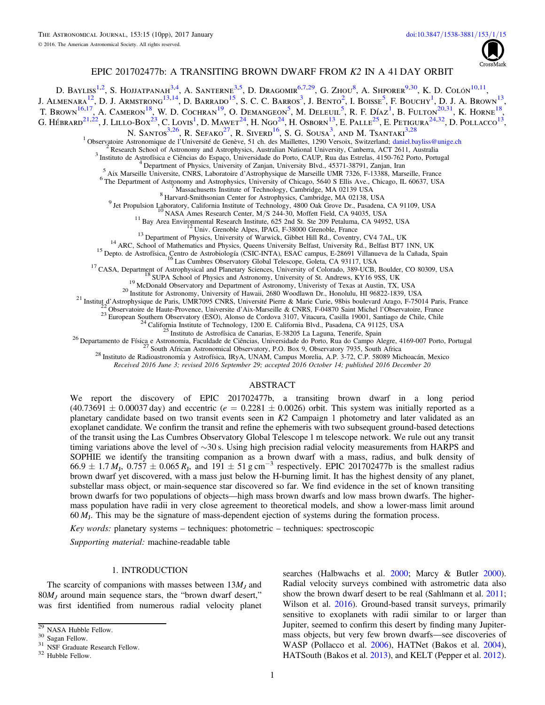

# EPIC 201702477b: A TRANSITING BROWN DWARF FROM K2 IN A 41 DAY ORBIT

D. Bayliss<sup>[1,](#page-0-0)[2](#page-0-1)</sup>, S. Hojjatpanah<sup>[3,](#page-0-2)[4](#page-0-3)</sup>, A. Santerne<sup>3,[5](#page-0-4)</sup>, D. Dragomir<sup>[6,](#page-0-5)[7,](#page-0-6)[29](#page-0-7)</sup>, G. Zhou<sup>[8](#page-0-8)</sup>, A. Shporer<sup>[9,](#page-0-9)[30](#page-0-10)</sup>, K. D. Colón<sup>[10,](#page-0-11)[11](#page-0-12)</sup>, J. Almenara<sup>[12](#page-0-13)</sup>, D. J. Armstrong<sup>[13,](#page-0-14)[14](#page-0-15)</sup>, D. Barrado<sup>[15](#page-0-16)</sup>, S. C. C. Barros<sup>[3](#page-0-2)</sup>, J. Bento<sup>[2](#page-0-1)</sup>, I. Boisse<sup>[5](#page-0-4)</sup>, F. Bouchy<sup>[1](#page-0-0)</sup>, D. J. A. Brown<sup>[13](#page-0-14)</sup>, T. Brown<sup>[16,](#page-0-17)[17](#page-0-18)</sup>, A. Cameron<sup>[18](#page-0-19)</sup>, W. D. Cochran<sup>[19](#page-0-20)</sup>, O. Demangeon<sup>[5](#page-0-4)</sup>, M. Deleuil<sup>5</sup>, R. F. Díaz<sup>[1](#page-0-0)</sup>, B. Fulton<sup>[20,](#page-0-21)[31](#page-0-22)</sup>, K. Horne<sup>18</sup>, G. Hébrard $^{21,22}$  $^{21,22}$  $^{21,22}$  $^{21,22}$ , J. Lillo-Box $^{23}$  $^{23}$  $^{23}$ , C. Lovis<sup>[1](#page-0-0)</sup>, D. Mawet $^{24}$  $^{24}$  $^{24}$ , H. Ngo $^{24}$ , H. Osborn $^{13}$  $^{13}$  $^{13}$ , E. Palle<sup>[25](#page-0-27)</sup>, E. Petigura $^{24,32}$  $^{24,32}$  $^{24,32}$  $^{24,32}$ , D. Pollacco $^{13}$ ,

N. Santos<sup>[3,](#page-0-2)[26](#page-0-29)</sup>, R. Sefako<sup>[27](#page-0-30)</sup>, R. Siverd<sup>[16](#page-0-17)</sup>, S. G. Sousa<sup>[3](#page-0-2)</sup>, and M. Tsantaki<sup>3,[28](#page-0-31)</sup>

<span id="page-0-8"></span>

<span id="page-0-11"></span><span id="page-0-9"></span>

<span id="page-0-16"></span><span id="page-0-15"></span><span id="page-0-14"></span><span id="page-0-13"></span><span id="page-0-12"></span>

<span id="page-0-21"></span><span id="page-0-20"></span><span id="page-0-19"></span><span id="page-0-18"></span><span id="page-0-17"></span>

<span id="page-0-6"></span><span id="page-0-5"></span><span id="page-0-4"></span><span id="page-0-3"></span><span id="page-0-2"></span><span id="page-0-1"></span><span id="page-0-0"></span><sup>1</sup> Observation Astronomique de l'Université de Genève, 51 en des Maillettes, 1290 Versoix, Switzefand, daniel baylise Samen, ACT 2611, Australia<br>
<sup>2</sup> Research School of Astronomy and Astrophysics, Australian National Uni

<span id="page-0-31"></span><span id="page-0-30"></span><span id="page-0-29"></span><span id="page-0-27"></span><span id="page-0-26"></span><span id="page-0-25"></span><span id="page-0-24"></span><span id="page-0-23"></span>

Received 2016 June 3; revised 2016 September 29; accepted 2016 October 14; published 2016 December 20

### ABSTRACT

We report the discovery of EPIC 201702477b, a transiting brown dwarf in a long period  $(40.73691 \pm 0.00037 \text{ day})$  and eccentric  $(e = 0.2281 \pm 0.0026)$  orbit. This system was initially reported as a planetary candidate based on two transit events seen in K2 Campaign 1 photometry and later validated as an exoplanet candidate. We confirm the transit and refine the ephemeris with two subsequent ground-based detections of the transit using the Las Cumbres Observatory Global Telescope 1 m telescope network. We rule out any transit timing variations above the level of ∼30 s. Using high precision radial velocity measurements from HARPS and SOPHIE we identify the transiting companion as a brown dwarf with a mass, radius, and bulk density of  $66.9 \pm 1.7 M_{\rm J}$ ,  $0.757 \pm 0.065 R_{\rm J}$ , and  $191 \pm 51 \,\rm g\,cm^{-3}$  respectively. EPIC 201702477b is the smallest radius brown dwarf yet discovered, with a mass just below the H-burning limit. It has the highest density of any planet, substellar mass object, or main-sequence star discovered so far. We find evidence in the set of known transiting brown dwarfs for two populations of objects—high mass brown dwarfs and low mass brown dwarfs. The highermass population have radii in very close agreement to theoretical models, and show a lower-mass limit around  $60 M<sub>J</sub>$ . This may be the signature of mass-dependent ejection of systems during the formation process.

Key words: planetary systems – techniques: photometric – techniques: spectroscopic

Supporting material: machine-readable table

### 1. INTRODUCTION

The scarcity of companions with masses between  $13M<sub>J</sub>$  and  $80M_J$  around main sequence stars, the "brown dwarf desert," was first identified from numerous radial velocity planet

searches (Halbwachs et al. [2000;](#page-9-0) Marcy & Butler [2000](#page-9-1)). Radial velocity surveys combined with astrometric data also show the brown dwarf desert to be real (Sahlmann et al. [2011](#page-9-2); Wilson et al. [2016](#page-9-3)). Ground-based transit surveys, primarily sensitive to exoplanets with radii similar to or larger than Jupiter, seemed to confirm this desert by finding many Jupitermass objects, but very few brown dwarfs—see discoveries of WASP (Pollacco et al. [2006](#page-9-4)), HATNet (Bakos et al. [2004](#page-9-5)), HATSouth (Bakos et al. [2013](#page-9-6)), and KELT (Pepper et al. [2012](#page-9-7)).

<span id="page-0-22"></span><span id="page-0-10"></span>

<span id="page-0-7"></span> $\frac{29}{30}$  Sagan Fellow.<br><sup>30</sup> Sagan Fellow.<br><sup>31</sup> NSF Graduate Research Fellow.<br><sup>32</sup> Hubble Fellow.

<span id="page-0-28"></span>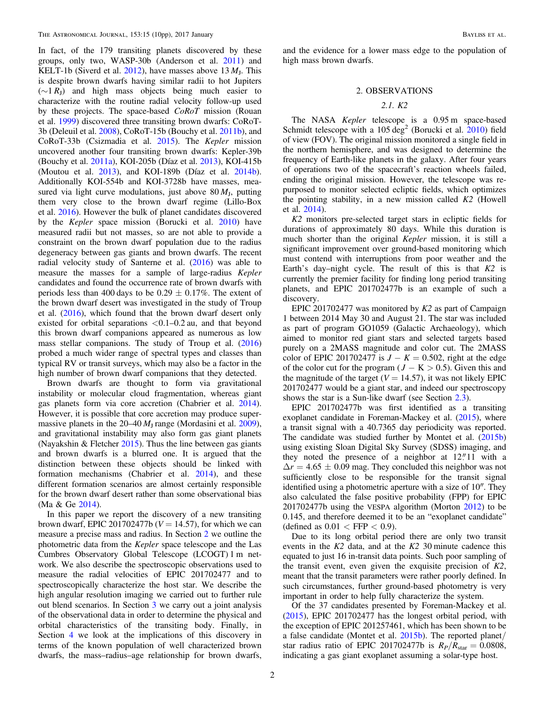In fact, of the 179 transiting planets discovered by these groups, only two, WASP-30b (Anderson et al. [2011](#page-9-8)) and KELT-1b (Siverd et al. [2012](#page-9-9)), have masses above  $13 M<sub>L</sub>$ . This is despite brown dwarfs having similar radii to hot Jupiters  $(\sim 1 R_{\rm I})$  and high mass objects being much easier to characterize with the routine radial velocity follow-up used by these projects. The space-based CoRoT mission (Rouan et al. [1999](#page-9-10)) discovered three transiting brown dwarfs: CoRoT-3b (Deleuil et al. [2008](#page-9-11)), CoRoT-15b (Bouchy et al. [2011b](#page-9-12)), and CoRoT-33b (Csizmadia et al. [2015](#page-9-13)). The Kepler mission uncovered another four transiting brown dwarfs: Kepler-39b (Bouchy et al. [2011a](#page-9-14)), KOI-205b (Díaz et al. [2013](#page-9-15)), KOI-415b (Moutou et al. [2013](#page-9-16)), and KOI-189b (Díaz et al. [2014b](#page-9-17)). Additionally KOI-554b and KOI-3728b have masses, measured via light curve modulations, just above  $80 M<sub>I</sub>$ , putting them very close to the brown dwarf regime (Lillo-Box et al. [2016](#page-9-18)). However the bulk of planet candidates discovered by the Kepler space mission (Borucki et al. [2010](#page-9-19)) have measured radii but not masses, so are not able to provide a constraint on the brown dwarf population due to the radius degeneracy between gas giants and brown dwarfs. The recent radial velocity study of Santerne et al.  $(2016)$  $(2016)$  $(2016)$  was able to measure the masses for a sample of large-radius Kepler candidates and found the occurrence rate of brown dwarfs with periods less than 400 days to be  $0.29 \pm 0.17\%$ . The extent of the brown dwarf desert was investigated in the study of Troup et al. ([2016](#page-9-21)), which found that the brown dwarf desert only existed for orbital separations  $< 0.1 - 0.2$  au, and that beyond this brown dwarf companions appeared as numerous as low mass stellar companions. The study of Troup et al. ([2016](#page-9-21)) probed a much wider range of spectral types and classes than typical RV or transit surveys, which may also be a factor in the high number of brown dwarf companions that they detected.

Brown dwarfs are thought to form via gravitational instability or molecular cloud fragmentation, whereas giant gas planets form via core accretion (Chabrier et al. [2014](#page-9-22)). However, it is possible that core accretion may produce supermassive planets in the  $20-40 M_J$  range (Mordasini et al. [2009](#page-9-23)), and gravitational instability may also form gas giant planets (Nayakshin  $&$  Fletcher [2015](#page-9-24)). Thus the line between gas giants and brown dwarfs is a blurred one. It is argued that the distinction between these objects should be linked with formation mechanisms (Chabrier et al. [2014](#page-9-22)), and these different formation scenarios are almost certainly responsible for the brown dwarf desert rather than some observational bias (Ma & Ge [2014](#page-9-25)).

In this paper we report the discovery of a new transiting brown dwarf, EPIC 201702477b ( $V = 14.57$ ), for which we can measure a precise mass and radius. In Section [2](#page-1-0) we outline the photometric data from the Kepler space telescope and the Las Cumbres Observatory Global Telescope (LCOGT) 1 m network. We also describe the spectroscopic observations used to measure the radial velocities of EPIC 201702477 and to spectroscopically characterize the host star. We describe the high angular resolution imaging we carried out to further rule out blend scenarios. In Section [3](#page-4-0) we carry out a joint analysis of the observational data in order to determine the physical and orbital characteristics of the transiting body. Finally, in Section [4](#page-5-0) we look at the implications of this discovery in terms of the known population of well characterized brown dwarfs, the mass–radius–age relationship for brown dwarfs,

<span id="page-1-0"></span>and the evidence for a lower mass edge to the population of high mass brown dwarfs.

#### 2. OBSERVATIONS

## 2.1. K2

The NASA Kepler telescope is a 0.95 m space-based Schmidt telescope with a  $105 \text{ deg}^2$  (Borucki et al. [2010](#page-9-19)) field of view (FOV). The original mission monitored a single field in the northern hemisphere, and was designed to determine the frequency of Earth-like planets in the galaxy. After four years of operations two of the spacecraft's reaction wheels failed, ending the original mission. However, the telescope was repurposed to monitor selected ecliptic fields, which optimizes the pointing stability, in a new mission called K2 (Howell et al. [2014](#page-9-26)).

K2 monitors pre-selected target stars in ecliptic fields for durations of approximately 80 days. While this duration is much shorter than the original Kepler mission, it is still a significant improvement over ground-based monitoring which must contend with interruptions from poor weather and the Earth's day-night cycle. The result of this is that  $K2$  is currently the premier facility for finding long period transiting planets, and EPIC 201702477b is an example of such a discovery.

EPIC 201702477 was monitored by K2 as part of Campaign 1 between 2014 May 30 and August 21. The star was included as part of program GO1059 (Galactic Archaeology), which aimed to monitor red giant stars and selected targets based purely on a 2MASS magnitude and color cut. The 2MASS color of EPIC 201702477 is  $J - K = 0.502$ , right at the edge of the color cut for the program ( $J - K > 0.5$ ). Given this and the magnitude of the target ( $V = 14.57$ ), it was not likely EPIC 201702477 would be a giant star, and indeed our spectroscopy shows the star is a Sun-like dwarf (see Section [2.3](#page-2-0)).

EPIC 201702477b was first identified as a transiting exoplanet candidate in Foreman-Mackey et al. ([2015](#page-9-27)), where a transit signal with a 40.7365 day periodicity was reported. The candidate was studied further by Montet et al. ([2015b](#page-9-28)) using existing Sloan Digital Sky Survey (SDSS) imaging, and they noted the presence of a neighbor at  $12''11$  with a  $\Delta r = 4.65 \pm 0.09$  mag. They concluded this neighbor was not sufficiently close to be responsible for the transit signal identified using a photometric aperture with a size of 10″. They also calculated the false positive probability (FPP) for EPIC 201702477b using the VESPA algorithm (Morton [2012](#page-9-29)) to be 0.145, and therefore deemed it to be an "exoplanet candidate" (defined as  $0.01 <$  FFP  $< 0.9$ ).

Due to its long orbital period there are only two transit events in the  $K2$  data, and at the  $K2$  30 minute cadence this equated to just 16 in-transit data points. Such poor sampling of the transit event, even given the exquisite precision of  $K2$ , meant that the transit parameters were rather poorly defined. In such circumstances, further ground-based photometry is very important in order to help fully characterize the system.

Of the 37 candidates presented by Foreman-Mackey et al. ([2015](#page-9-27)), EPIC 201702477 has the longest orbital period, with the exception of EPIC 201257461, which has been shown to be a false candidate (Montet et al. [2015b](#page-9-28)). The reported planet/ star radius ratio of EPIC 201702477b is  $R_P/R_{\text{star}} = 0.0808$ , indicating a gas giant exoplanet assuming a solar-type host.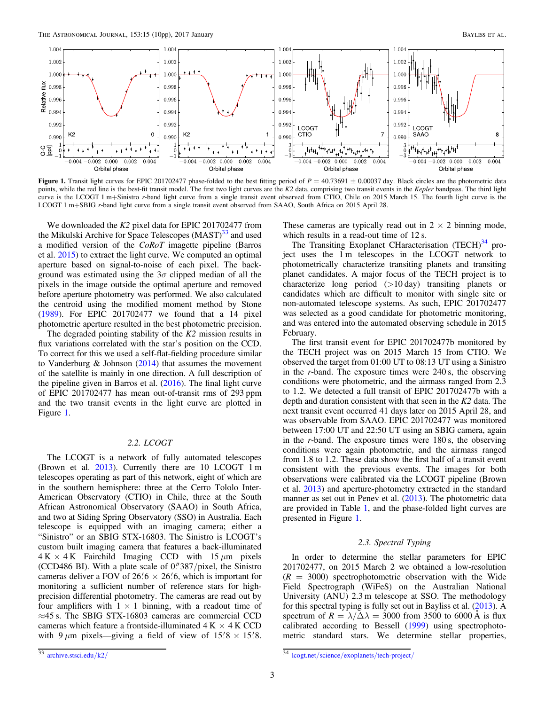<span id="page-2-2"></span>

Figure 1. Transit light curves for EPIC 201702477 phase-folded to the best fitting period of  $P = 40.73691 \pm 0.00037$  day. Black circles are the photometric data points, while the red line is the best-fit transit model. The first two light curves are the K2 data, comprising two transit events in the Kepler bandpass. The third light curve is the LCOGT 1 m+Sinistro r-band light curve from a single transit event observed from CTIO, Chile on 2015 March 15. The fourth light curve is the LCOGT 1 m+SBIG r-band light curve from a single transit event observed from SAAO, South Africa on 2015 April 28.

We downloaded the K2 pixel data for EPIC 201702477 from the Mikulski Archive for Space Telescopes (MAST)<sup>[33](#page-2-1)</sup> and used a modified version of the CoRoT imagette pipeline (Barros et al. [2015](#page-9-30)) to extract the light curve. We computed an optimal aperture based on signal-to-noise of each pixel. The background was estimated using the  $3\sigma$  clipped median of all the pixels in the image outside the optimal aperture and removed before aperture photometry was performed. We also calculated the centroid using the modified moment method by Stone ([1989](#page-9-31)). For EPIC 201702477 we found that a 14 pixel photometric aperture resulted in the best photometric precision.

The degraded pointing stability of the K2 mission results in flux variations correlated with the star's position on the CCD. To correct for this we used a self-flat-fielding procedure similar to Vanderburg & Johnson  $(2014)$  $(2014)$  $(2014)$  that assumes the movement of the satellite is mainly in one direction. A full description of the pipeline given in Barros et al.  $(2016)$  $(2016)$  $(2016)$ . The final light curve of EPIC 201702477 has mean out-of-transit rms of 293 ppm and the two transit events in the light curve are plotted in Figure [1.](#page-2-2)

### 2.2. LCOGT

The LCOGT is a network of fully automated telescopes (Brown et al. [2013](#page-9-34)). Currently there are 10 LCOGT 1 m telescopes operating as part of this network, eight of which are in the southern hemisphere: three at the Cerro Tololo Inter-American Observatory (CTIO) in Chile, three at the South African Astronomical Observatory (SAAO) in South Africa, and two at Siding Spring Observatory (SSO) in Australia. Each telescope is equipped with an imaging camera; either a "Sinistro" or an SBIG STX-16803. The Sinistro is LCOGT's custom built imaging camera that features a back-illuminated  $4 K \times 4 K$  Fairchild Imaging CCD with  $15 \mu m$  pixels (CCD486 BI). With a plate scale of  $0\frac{7}{387}$ /pixel, the Sinistro cameras deliver a FOV of  $26/6 \times 26/6$ , which is important for monitoring a sufficient number of reference stars for highprecision differential photometry. The cameras are read out by four amplifiers with  $1 \times 1$  binning, with a readout time of ≈45 s. The SBIG STX-16803 cameras are commercial CCD cameras which feature a frontside-illuminated  $4 K \times 4 K$  CCD with 9  $\mu$ m pixels—giving a field of view of 15.8 × 15.8.

These cameras are typically read out in  $2 \times 2$  binning mode, which results in a read-out time of 12 s.

The Transiting Exoplanet CHaracterisation (TECH)<sup>[34](#page-2-3)</sup> project uses the 1 m telescopes in the LCOGT network to photometrically characterize transiting planets and transiting planet candidates. A major focus of the TECH project is to characterize long period (>10 day) transiting planets or candidates which are difficult to monitor with single site or non-automated telescope systems. As such, EPIC 201702477 was selected as a good candidate for photometric monitoring, and was entered into the automated observing schedule in 2015 February.

The first transit event for EPIC 201702477b monitored by the TECH project was on 2015 March 15 from CTIO. We observed the target from 01:00 UT to 08:13 UT using a Sinistro in the r-band. The exposure times were 240 s, the observing conditions were photometric, and the airmass ranged from 2.3 to 1.2. We detected a full transit of EPIC 201702477b with a depth and duration consistent with that seen in the K2 data. The next transit event occurred 41 days later on 2015 April 28, and was observable from SAAO. EPIC 201702477 was monitored between 17:00 UT and 22:50 UT using an SBIG camera, again in the r-band. The exposure times were 180 s, the observing conditions were again photometric, and the airmass ranged from 1.8 to 1.2. These data show the first half of a transit event consistent with the previous events. The images for both observations were calibrated via the LCOGT pipeline (Brown et al. [2013](#page-9-34)) and aperture-photometry extracted in the standard manner as set out in Penev et al. ([2013](#page-9-35)). The photometric data are provided in Table [1](#page-3-0), and the phase-folded light curves are presented in Figure [1](#page-2-2).

## 2.3. Spectral Typing

<span id="page-2-3"></span><span id="page-2-0"></span>In order to determine the stellar parameters for EPIC 201702477, on 2015 March 2 we obtained a low-resolution  $(R = 3000)$  spectrophotometric observation with the Wide Field Spectrograph (WiFeS) on the Australian National University (ANU) 2.3 m telescope at SSO. The methodology for this spectral typing is fully set out in Bayliss et al. ([2013](#page-9-36)). A spectrum of  $R = \lambda/\Delta\lambda = 3000$  from 3500 to 6000 Å is flux calibrated according to Bessell ([1999](#page-9-37)) using spectrophotometric standard stars. We determine stellar properties,

<span id="page-2-1"></span> $\frac{33}{33}$  [archive.stsci.edu](http://archive.stsci.edu/k2/)/k2/  $\frac{34}{33}$  lcogt.net/science/exoplanets/[tech-project](http://lcogt.net/science/exoplanets/tech-project/)/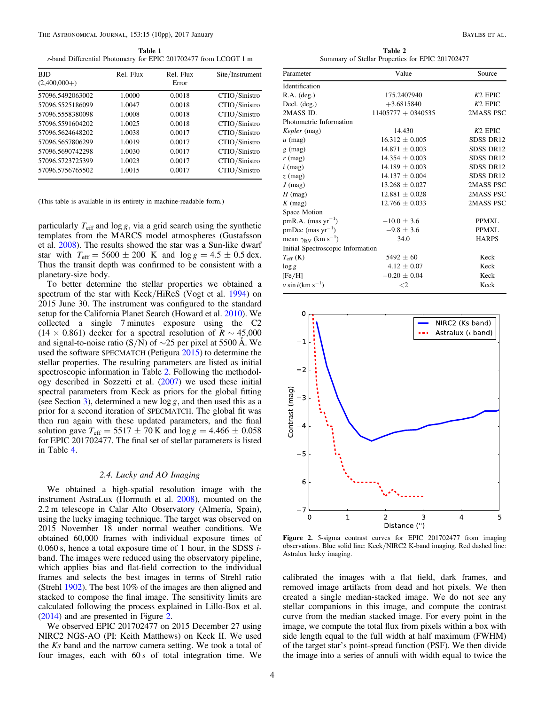<span id="page-3-0"></span>r-band Differential Photometry for EPIC 201702477 from LCOGT 1 m

| <b>BJD</b><br>$(2,400,000+)$ | Rel. Flux | Rel. Flux<br>Error | Site/Instrument |
|------------------------------|-----------|--------------------|-----------------|
| 57096.5492063002             | 1.0000    | 0.0018             | CTIO/Sinistro   |
| 57096.5525186099             | 1.0047    | 0.0018             | CTIO/Sinistro   |
| 57096.5558380098             | 1.0008    | 0.0018             | CTIO/Sinistro   |
| 57096.5591604202             | 1.0025    | 0.0018             | CTIO/Sinistro   |
| 57096.5624648202             | 1.0038    | 0.0017             | CTIO/Sinistro   |
| 57096.5657806299             | 1.0019    | 0.0017             | CTIO/Sinistro   |
| 57096.5690742298             | 1.0030    | 0.0017             | CTIO/Sinistro   |
| 57096.5723725399             | 1.0023    | 0.0017             | CTIO/Sinistro   |
| 57096.5756765502             | 1.0015    | 0.0017             | CTIO/Sinistro   |

(This table is available in its entirety in machine-readable form.)

particularly  $T_{\text{eff}}$  and  $\log g$ , via a grid search using the synthetic templates from the MARCS model atmospheres (Gustafsson et al. [2008](#page-9-38)). The results showed the star was a Sun-like dwarf star with  $T_{\text{eff}} = 5600 \pm 200 \text{ K}$  and  $\log g = 4.5 \pm 0.5 \text{ dex}$ . Thus the transit depth was confirmed to be consistent with a planetary-size body.

To better determine the stellar properties we obtained a spectrum of the star with Keck/HiReS (Vogt et al. [1994](#page-9-39)) on 2015 June 30. The instrument was configured to the standard setup for the California Planet Search (Howard et al. [2010](#page-9-40)). We collected a single 7 minutes exposure using the C2  $(14 \times 0.861)$  decker for a spectral resolution of  $R \sim 45,000$ and signal-to-noise ratio (S/N) of  $\sim$ 25 per pixel at 5500 Å. We used the software SPECMATCH (Petigura [2015](#page-9-41)) to determine the stellar properties. The resulting parameters are listed as initial spectroscopic information in Table [2.](#page-3-1) Following the methodology described in Sozzetti et al. ([2007](#page-9-42)) we used these initial spectral parameters from Keck as priors for the global fitting (see Section [3](#page-4-0)), determined a new log *g*, and then used this as a prior for a second iteration of SPECMATCH. The global fit was then run again with these updated parameters, and the final solution gave  $T_{\text{eff}} = 5517 \pm 70 \,\text{K}$  and  $\log g = 4.466 \pm 0.058$ for EPIC 201702477. The final set of stellar parameters is listed in Table [4.](#page-6-0)

## 2.4. Lucky and AO Imaging

We obtained a high-spatial resolution image with the instrument AstraLux (Hormuth et al. [2008](#page-9-43)), mounted on the 2.2 m telescope in Calar Alto Observatory (Almería, Spain), using the lucky imaging technique. The target was observed on 2015 November 18 under normal weather conditions. We obtained 60,000 frames with individual exposure times of 0.060 s, hence a total exposure time of 1 hour, in the SDSS  $i$ band. The images were reduced using the observatory pipeline, which applies bias and flat-field correction to the individual frames and selects the best images in terms of Strehl ratio (Strehl [1902](#page-9-44)). The best 10% of the images are then aligned and stacked to compose the final image. The sensitivity limits are calculated following the process explained in Lillo-Box et al. ([2014](#page-9-45)) and are presented in Figure [2.](#page-3-2)

We observed EPIC 201702477 on 2015 December 27 using NIRC2 NGS-AO (PI: Keith Matthews) on Keck II. We used the Ks band and the narrow camera setting. We took a total of four images, each with 60 s of total integration time. We

Table 2 Summary of Stellar Properties for EPIC 201702477

<span id="page-3-1"></span>

| Parameter                                    | Value                |              |  |  |
|----------------------------------------------|----------------------|--------------|--|--|
| <b>Identification</b>                        |                      |              |  |  |
| $R.A.$ (deg.)                                | 175.2407940          | $K2$ EPIC    |  |  |
| Decl. $(\text{deg.})$                        | $+3.6815840$         | $K2$ EPIC    |  |  |
| 2MASS ID.                                    | $11405777 + 0340535$ | 2MASS PSC    |  |  |
| Photometric Information                      |                      |              |  |  |
| <i>Kepler</i> (mag)                          | 14.430               | $K2$ EPIC    |  |  |
| $u$ (mag)                                    | $16.312 \pm 0.005$   | SDSS DR12    |  |  |
| $g$ (mag)                                    | $14.871 + 0.003$     | SDSS DR12    |  |  |
| $r$ (mag)                                    | $14.354 \pm 0.003$   | SDSS DR12    |  |  |
| $i \text{ (mag)}$                            | $14.189 \pm 0.003$   | SDSS DR12    |  |  |
| $z \text{ (mag)}$                            | $14.137 \pm 0.004$   | SDSS DR12    |  |  |
| $J$ (mag)                                    | $13.268 \pm 0.027$   | 2MASS PSC    |  |  |
| $H$ (mag)                                    | $12.881 \pm 0.028$   | 2MASS PSC    |  |  |
| $K \text{ (mag)}$                            | $12.766 \pm 0.033$   | 2MASS PSC    |  |  |
| Space Motion                                 |                      |              |  |  |
| $pm R.A.$ (mas $yr^{-1}$ )                   | $-10.0 \pm 3.6$      | PPMXL        |  |  |
| $pmDec$ (mas $yr^{-1}$ )                     | $-9.8 \pm 3.6$       | PPMXL        |  |  |
| mean $\gamma_{\rm RV}$ (km s <sup>-1</sup> ) | 34.0                 | <b>HARPS</b> |  |  |
| Initial Spectroscopic Information            |                      |              |  |  |
| $T_{\rm eff}$ (K)                            | $5492 \pm 60$        | Keck         |  |  |
| $\log g$                                     | $4.12 \pm 0.07$      | Keck         |  |  |
| [Fe/H]                                       | $-0.20 \pm 0.04$     | Keck         |  |  |
| $v \sin i$ (km s <sup>-1</sup> )             | $\leq$ 2             | Keck         |  |  |

<span id="page-3-2"></span>

Figure 2. 5-sigma contrast curves for EPIC 201702477 from imaging observations. Blue solid line: Keck/NIRC2 K-band imaging. Red dashed line: Astralux lucky imaging.

calibrated the images with a flat field, dark frames, and removed image artifacts from dead and hot pixels. We then created a single median-stacked image. We do not see any stellar companions in this image, and compute the contrast curve from the median stacked image. For every point in the image, we compute the total flux from pixels within a box with side length equal to the full width at half maximum (FWHM) of the target star's point-spread function (PSF). We then divide the image into a series of annuli with width equal to twice the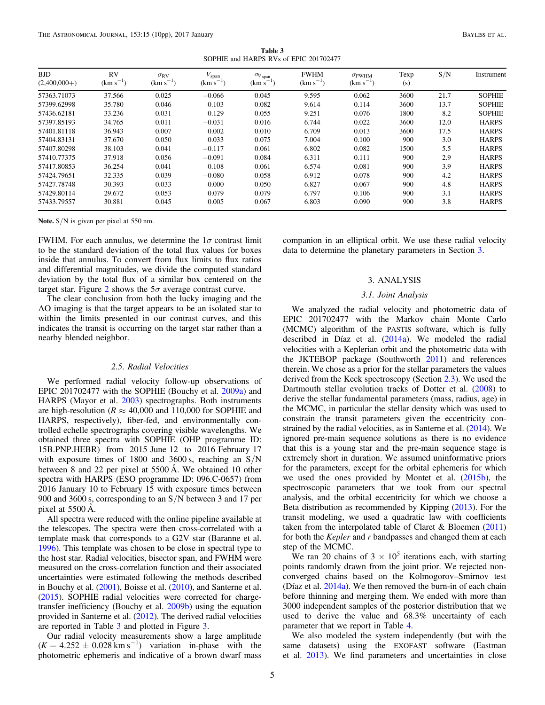Table 3 SOPHIE and HARPS RVs of EPIC 201702477

<span id="page-4-1"></span>

| <b>BJD</b><br>$(2,400,000+)$ | <b>RV</b><br>$(km s^{-1})$ | $\sigma_{\rm RV}$<br>$(km s^{-1})$ | $V_{\rm span}$<br>$(km s^{-1})$ | $\sigma_{V\, \text{span}}$<br>$(km s^{-1})$ | <b>FWHM</b><br>$(km s^{-1})$ | $\sigma_{FWHM}$<br>$(km s^{-1})$ | Texp<br>(s) | S/N  | Instrument    |
|------------------------------|----------------------------|------------------------------------|---------------------------------|---------------------------------------------|------------------------------|----------------------------------|-------------|------|---------------|
| 57363.71073                  | 37.566                     | 0.025                              | $-0.066$                        | 0.045                                       | 9.595                        | 0.062                            | 3600        | 21.7 | <b>SOPHIE</b> |
| 57399.62998                  | 35.780                     | 0.046                              | 0.103                           | 0.082                                       | 9.614                        | 0.114                            | 3600        | 13.7 | <b>SOPHIE</b> |
| 57436.62181                  | 33.236                     | 0.031                              | 0.129                           | 0.055                                       | 9.251                        | 0.076                            | 1800        | 8.2  | <b>SOPHIE</b> |
| 57397.85193                  | 34.765                     | 0.011                              | $-0.031$                        | 0.016                                       | 6.744                        | 0.022                            | 3600        | 12.0 | <b>HARPS</b>  |
| 57401.81118                  | 36.943                     | 0.007                              | 0.002                           | 0.010                                       | 6.709                        | 0.013                            | 3600        | 17.5 | <b>HARPS</b>  |
| 57404.83131                  | 37.670                     | 0.050                              | 0.033                           | 0.075                                       | 7.004                        | 0.100                            | 900         | 3.0  | <b>HARPS</b>  |
| 57407.80298                  | 38.103                     | 0.041                              | $-0.117$                        | 0.061                                       | 6.802                        | 0.082                            | 1500        | 5.5  | <b>HARPS</b>  |
| 57410.77375                  | 37.918                     | 0.056                              | $-0.091$                        | 0.084                                       | 6.311                        | 0.111                            | 900         | 2.9  | <b>HARPS</b>  |
| 57417.80853                  | 36.254                     | 0.041                              | 0.108                           | 0.061                                       | 6.574                        | 0.081                            | 900         | 3.9  | <b>HARPS</b>  |
| 57424.79651                  | 32.335                     | 0.039                              | $-0.080$                        | 0.058                                       | 6.912                        | 0.078                            | 900         | 4.2  | <b>HARPS</b>  |
| 57427.78748                  | 30.393                     | 0.033                              | 0.000                           | 0.050                                       | 6.827                        | 0.067                            | 900         | 4.8  | <b>HARPS</b>  |
| 57429.80114                  | 29.672                     | 0.053                              | 0.079                           | 0.079                                       | 6.797                        | 0.106                            | 900         | 3.1  | <b>HARPS</b>  |
| 57433.79557                  | 30.881                     | 0.045                              | 0.005                           | 0.067                                       | 6.803                        | 0.090                            | 900         | 3.8  | <b>HARPS</b>  |

Note.  $S/N$  is given per pixel at 550 nm.

FWHM. For each annulus, we determine the  $1\sigma$  contrast limit to be the standard deviation of the total flux values for boxes inside that annulus. To convert from flux limits to flux ratios and differential magnitudes, we divide the computed standard deviation by the total flux of a similar box centered on the target star. Figure [2](#page-3-2) shows the  $5\sigma$  average contrast curve.

The clear conclusion from both the lucky imaging and the AO imaging is that the target appears to be an isolated star to within the limits presented in our contrast curves, and this indicates the transit is occurring on the target star rather than a nearby blended neighbor.

## 2.5. Radial Velocities

We performed radial velocity follow-up observations of EPIC 201702477 with the SOPHIE (Bouchy et al. [2009a](#page-9-46)) and HARPS (Mayor et al. [2003](#page-9-47)) spectrographs. Both instruments are high-resolution ( $R \approx 40,000$  and 110,000 for SOPHIE and HARPS, respectively), fiber-fed, and environmentally controlled echelle spectrographs covering visible wavelengths. We obtained three spectra with SOPHIE (OHP programme ID: 15B.PNP.HEBR) from 2015 June 12 to 2016 February 17 with exposure times of 1800 and 3600 s, reaching an S/N between 8 and 22 per pixel at 5500 Å. We obtained 10 other spectra with HARPS (ESO programme ID: 096.C-0657) from 2016 January 10 to February 15 with exposure times between 900 and 3600 s, corresponding to an S/N between 3 and 17 per pixel at 5500 Å.

All spectra were reduced with the online pipeline available at the telescopes. The spectra were then cross-correlated with a template mask that corresponds to a G2V star (Baranne et al. [1996](#page-9-48)). This template was chosen to be close in spectral type to the host star. Radial velocities, bisector span, and FWHM were measured on the cross-correlation function and their associated uncertainties were estimated following the methods described in Bouchy et al. ([2001](#page-9-49)), Boisse et al. ([2010](#page-9-50)), and Santerne et al. ([2015](#page-9-51)). SOPHIE radial velocities were corrected for chargetransfer inefficiency (Bouchy et al. [2009b](#page-9-52)) using the equation provided in Santerne et al. ([2012](#page-9-53)). The derived radial velocities are reported in Table [3](#page-4-1) and plotted in Figure [3.](#page-5-1)

Our radial velocity measurements show a large amplitude  $(K = 4.252 \pm 0.028 \text{ km s}^{-1})$  variation in-phase with the photometric ephemeris and indicative of a brown dwarf mass

<span id="page-4-0"></span>companion in an elliptical orbit. We use these radial velocity data to determine the planetary parameters in Section [3.](#page-4-0)

## 3. ANALYSIS

### 3.1. Joint Analysis

<span id="page-4-2"></span>We analyzed the radial velocity and photometric data of EPIC 201702477 with the Markov chain Monte Carlo (MCMC) algorithm of the PASTIS software, which is fully described in Díaz et al.  $(2014a)$  $(2014a)$  $(2014a)$ . We modeled the radial velocities with a Keplerian orbit and the photometric data with the JKTEBOP package (Southworth [2011](#page-9-55)) and references therein. We chose as a prior for the stellar parameters the values derived from the Keck spectroscopy (Section [2.3](#page-2-0)). We used the Dartmouth stellar evolution tracks of Dotter et al. ([2008](#page-9-56)) to derive the stellar fundamental parameters (mass, radius, age) in the MCMC, in particular the stellar density which was used to constrain the transit parameters given the eccentricity constrained by the radial velocities, as in Santerne et al. ([2014](#page-9-57)). We ignored pre-main sequence solutions as there is no evidence that this is a young star and the pre-main sequence stage is extremely short in duration. We assumed uninformative priors for the parameters, except for the orbital ephemeris for which we used the ones provided by Montet et al. ([2015b](#page-9-28)), the spectroscopic parameters that we took from our spectral analysis, and the orbital eccentricity for which we choose a Beta distribution as recommended by Kipping ([2013](#page-9-58)). For the transit modeling, we used a quadratic law with coefficients taken from the interpolated table of Claret & Bloemen ([2011](#page-9-59)) for both the Kepler and r bandpasses and changed them at each step of the MCMC.

We ran 20 chains of  $3 \times 10^5$  iterations each, with starting points randomly drawn from the joint prior. We rejected nonconverged chains based on the Kolmogorov–Smirnov test (Díaz et al.  $2014a$ ). We then removed the burn-in of each chain before thinning and merging them. We ended with more than 3000 independent samples of the posterior distribution that we used to derive the value and 68.3% uncertainty of each parameter that we report in Table [4.](#page-6-0)

We also modeled the system independently (but with the same datasets) using the EXOFAST software (Eastman et al. [2013](#page-9-60)). We find parameters and uncertainties in close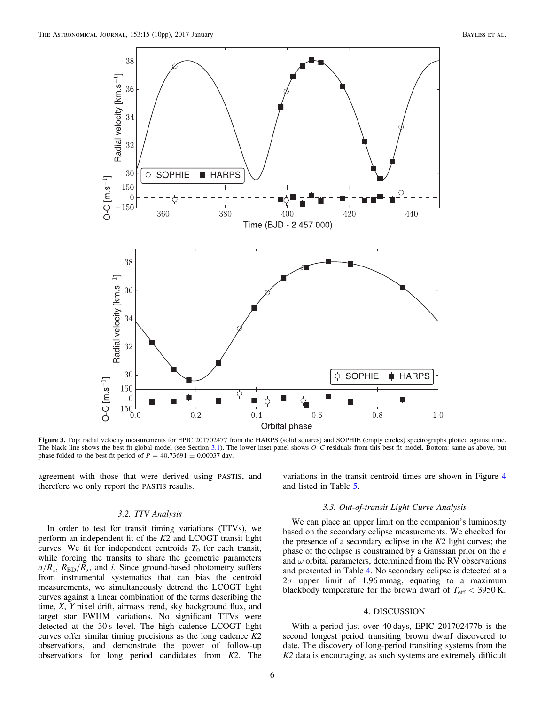<span id="page-5-1"></span>

Figure 3. Top: radial velocity measurements for EPIC 201702477 from the HARPS (solid squares) and SOPHIE (empty circles) spectrographs plotted against time. The black line shows the best fit global model (see Section [3.1](#page-4-2)). The lower inset panel shows O–C residuals from this best fit model. Bottom: same as above, but phase-folded to the best-fit period of  $P = 40.73691 \pm 0.00037$  day.

agreement with those that were derived using PASTIS, and therefore we only report the PASTIS results.

### 3.2. TTV Analysis

In order to test for transit timing variations (TTVs), we perform an independent fit of the K2 and LCOGT transit light curves. We fit for independent centroids  $T_0$  for each transit, while forcing the transits to share the geometric parameters  $a/R<sub>\star</sub>$ ,  $R_{\rm BD}/R_{\star}$ , and *i*. Since ground-based photometry suffers from instrumental systematics that can bias the centroid measurements, we simultaneously detrend the LCOGT light curves against a linear combination of the terms describing the time, X, Y pixel drift, airmass trend, sky background flux, and target star FWHM variations. No significant TTVs were detected at the 30 s level. The high cadence LCOGT light curves offer similar timing precisions as the long cadence  $K2$ observations, and demonstrate the power of follow-up observations for long period candidates from K2. The variations in the transit centroid times are shown in Figure [4](#page-6-1) and listed in Table [5.](#page-6-2)

#### 3.3. Out-of-transit Light Curve Analysis

We can place an upper limit on the companion's luminosity based on the secondary eclipse measurements. We checked for the presence of a secondary eclipse in the  $K2$  light curves; the phase of the eclipse is constrained by a Gaussian prior on the e and  $\omega$  orbital parameters, determined from the RV observations and presented in Table [4](#page-6-0). No secondary eclipse is detected at a  $2\sigma$  upper limit of 1.96 mmag, equating to a maximum blackbody temperature for the brown dwarf of  $T_{\text{eff}} < 3950 \text{ K}$ .

## 4. DISCUSSION

<span id="page-5-0"></span>With a period just over 40 days, EPIC 201702477b is the second longest period transiting brown dwarf discovered to date. The discovery of long-period transiting systems from the K2 data is encouraging, as such systems are extremely difficult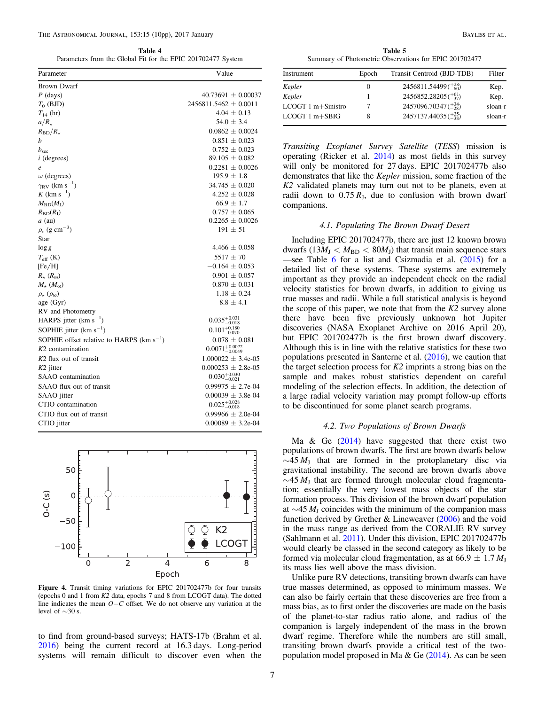<span id="page-6-0"></span>

|  |  |  | Table 4 |  |                                                              |  |
|--|--|--|---------|--|--------------------------------------------------------------|--|
|  |  |  |         |  | Parameters from the Global Fit for the EPIC 201702477 System |  |

| Parameter                                     | Value                                |
|-----------------------------------------------|--------------------------------------|
| <b>Brown Dwarf</b>                            |                                      |
| $P$ (days)                                    | $40.73691 \pm 0.00037$               |
| $T_0$ (BJD)                                   | $2456811.5462 \pm 0.0011$            |
| $T_{14}$ (hr)                                 | $4.04 \pm 0.13$                      |
| $a/R_{\star}$                                 | $54.0 \pm 3.4$                       |
| $R_{\rm BD}/R_{\star}$                        | $0.0862 \pm 0.0024$                  |
| h                                             | $0.851 \pm 0.023$                    |
| b <sub>sec</sub>                              | $0.752 \pm 0.023$                    |
| $i$ (degrees)                                 | $89.105 \pm 0.082$                   |
| e                                             | $0.2281 \pm 0.0026$                  |
| $\omega$ (degrees)                            | $195.9 \pm 1.8$                      |
| $\gamma_{\rm RV}$ (km s <sup>-1</sup> )       | $34.745 \pm 0.020$                   |
| K (km s <sup>-1</sup> )                       | $4.252 \pm 0.028$                    |
| $M_{\rm BD}(M_{\rm J})$                       | $66.9 \pm 1.7$                       |
| $R_{\rm BD}(R_{\rm J})$                       | $0.757 \pm 0.065$                    |
| $a$ (au)                                      | $0.2265 \pm 0.0026$                  |
| $\rho_c$ (g cm <sup>-3</sup> )                | $191 \pm 51$                         |
| Star                                          |                                      |
| $\log g$                                      | $4.466 \pm 0.058$                    |
| $T_{\rm eff}$ (K)                             | $5517 \pm 70$                        |
| [Fe/H]                                        | $-0.164 \pm 0.053$                   |
| $R_{\star}$ ( $R_{\odot}$ )                   | $0.901 \pm 0.057$                    |
| $M_{\star}$ $(M_{\odot})$                     | $0.870 \pm 0.031$                    |
| $\rho_{\star}$ ( $\rho_{\odot}$ )             | $1.18 \pm 0.24$                      |
| age (Gyr)                                     | $8.8 \pm 4.1$                        |
| RV and Photometry                             |                                      |
| HARPS jitter $(km s^{-1})$                    | $0.035_{-0.018}^{+0.031}$            |
| SOPHIE jitter $(km s^{-1})$                   | $0.101^{+0.180}_{-0.070}$            |
| SOPHIE offset relative to HARPS $(km s^{-1})$ | $0.078 \pm 0.081$                    |
| $K2$ contamination                            | $0.0071\substack{+0.0072\\ -0.0049}$ |
| $K2$ flux out of transit                      | $1.000022 \pm 3.4e-05$               |
| $K2$ jitter                                   | $0.000253 \pm 2.8e-0.5$              |
| SAAO contamination                            | $0.030^{+0.030}_{-0.021}$            |
| SAAO flux out of transit                      | $0.99975 \pm 2.7e-04$                |
| SAAO jitter                                   | $0.00039 \pm 3.8e-04$                |
| CTIO contamination                            | $0.025_{-0.018}^{+0.028}$            |
| CTIO flux out of transit                      | $0.99966 \pm 2.0e-04$                |
| CTIO jitter                                   | $0.00089 \pm 3.2e-04$                |

<span id="page-6-1"></span>

Figure 4. Transit timing variations for EPIC 201702477b for four transits (epochs 0 and 1 from K2 data, epochs 7 and 8 from LCOGT data). The dotted line indicates the mean O−C offset. We do not observe any variation at the level of ∼30 s.

to find from ground-based surveys; HATS-17b (Brahm et al. [2016](#page-9-61)) being the current record at 16.3 days. Long-period systems will remain difficult to discover even when the

Table 5 Summary of Photometric Observations for EPIC 201702477

<span id="page-6-2"></span>

| Instrument         | Epoch | Transit Centroid (BJD-TDB)    | Filter  |
|--------------------|-------|-------------------------------|---------|
| Kepler             | 0     | $2456811.54499(^{+28}_{-60})$ | Kep.    |
| Kepler             |       | $2456852.28205(^{+61}_{-37})$ | Kep.    |
| LCOGT 1 m+Sinistro |       | $2457096.70347(^{+34}_{-28})$ | sloan-r |
| $LCOGT1 m + SBIG$  | 8     | $2457137.44035(^{+35}_{-38})$ | sloan-r |

Transiting Exoplanet Survey Satellite (TESS) mission is operating (Ricker et al. [2014](#page-9-62)) as most fields in this survey will only be monitored for 27 days. EPIC 201702477b also demonstrates that like the Kepler mission, some fraction of the  $K2$  validated planets may turn out not to be planets, even at radii down to  $0.75 R_J$ , due to confusion with brown dwarf companions.

## 4.1. Populating The Brown Dwarf Desert

Including EPIC 201702477b, there are just 12 known brown dwarfs ( $13M_J < M_{BD} < 80M_J$ ) that transit main sequence stars —see Table [6](#page-7-0) for a list and Csizmadia et al. ([2015](#page-9-13)) for a detailed list of these systems. These systems are extremely important as they provide an independent check on the radial velocity statistics for brown dwarfs, in addition to giving us true masses and radii. While a full statistical analysis is beyond the scope of this paper, we note that from the  $K2$  survey alone there have been five previously unknown hot Jupiter discoveries (NASA Exoplanet Archive on 2016 April 20), but EPIC 201702477b is the first brown dwarf discovery. Although this is in line with the relative statistics for these two populations presented in Santerne et al. ([2016](#page-9-20)), we caution that the target selection process for  $K2$  imprints a strong bias on the sample and makes robust statistics dependent on careful modeling of the selection effects. In addition, the detection of a large radial velocity variation may prompt follow-up efforts to be discontinued for some planet search programs.

### 4.2. Two Populations of Brown Dwarfs

Ma  $\&$  Ge ([2014](#page-9-25)) have suggested that there exist two populations of brown dwarfs. The first are brown dwarfs below  $\sim$ 45 M<sub>J</sub> that are formed in the protoplanetary disc via gravitational instability. The second are brown dwarfs above  $\sim$ 45  $M<sub>J</sub>$  that are formed through molecular cloud fragmentation; essentially the very lowest mass objects of the star formation process. This division of the brown dwarf population at  $\sim$ 45  $M<sub>J</sub>$  coincides with the minimum of the companion mass function derived by Grether & Lineweaver ([2006](#page-9-63)) and the void in the mass range as derived from the CORALIE RV survey (Sahlmann et al. [2011](#page-9-2)). Under this division, EPIC 201702477b would clearly be classed in the second category as likely to be formed via molecular cloud fragmentation, as at  $66.9 \pm 1.7 M_{J}$ its mass lies well above the mass division.

Unlike pure RV detections, transiting brown dwarfs can have true masses determined, as opposed to minimum masses. We can also be fairly certain that these discoveries are free from a mass bias, as to first order the discoveries are made on the basis of the planet-to-star radius ratio alone, and radius of the companion is largely independent of the mass in the brown dwarf regime. Therefore while the numbers are still small, transiting brown dwarfs provide a critical test of the twopopulation model proposed in Ma & Ge ([2014](#page-9-25)). As can be seen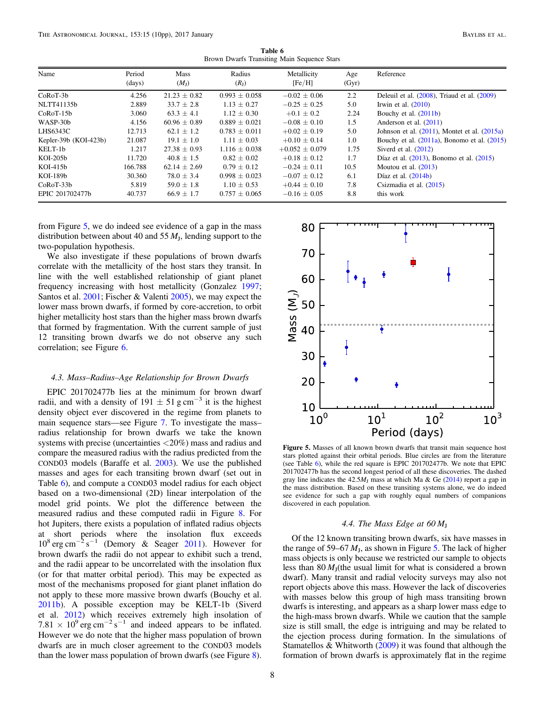Table 6 Brown Dwarfs Transiting Main Sequence Stars

<span id="page-7-0"></span>

| Name                  | Period<br>(days) | Mass<br>$(M_{\rm J})$ | Radius<br>(R <sub>I</sub> ) | Metallicity<br>[Fe/H] | Age<br>(Gyr) | Reference                                         |
|-----------------------|------------------|-----------------------|-----------------------------|-----------------------|--------------|---------------------------------------------------|
| $CoRoT-3b$            | 4.256            | $21.23 \pm 0.82$      | $0.993 \pm 0.058$           | $-0.02 \pm 0.06$      | 2.2          | Deleuil et al. $(2008)$ , Triaud et al. $(2009)$  |
| NLTT41135b            | 2.889            | $33.7 \pm 2.8$        | $1.13 + 0.27$               | $-0.25 + 0.25$        | 5.0          | Irwin et al. $(2010)$                             |
| $CoRoT-15b$           | 3.060            | $63.3 \pm 4.1$        | $1.12 \pm 0.30$             | $+0.1 \pm 0.2$        | 2.24         | Bouchy et al. $(2011b)$                           |
| WASP-30b              | 4.156            | $60.96 \pm 0.89$      | $0.889 \pm 0.021$           | $-0.08 \pm 0.10$      | 1.5          | Anderson et al. (2011)                            |
| LHS6343C              | 12.713           | $62.1 + 1.2$          | $0.783 + 0.011$             | $+0.02 \pm 0.19$      | 5.0          | Johnson et al. $(2011)$ , Montet et al. $(2015a)$ |
| Kepler-39b (KOI-423b) | 21.087           | $19.1 \pm 1.0$        | $1.11 \pm 0.03$             | $+0.10 \pm 0.14$      | 1.0          | Bouchy et al. $(2011a)$ , Bonomo et al. $(2015)$  |
| KELT-1b               | 1.217            | $27.38 \pm 0.93$      | $1.116 \pm 0.038$           | $+0.052 \pm 0.079$    | 1.75         | Siverd et al. $(2012)$                            |
| $KOI-205b$            | 11.720           | $40.8 \pm 1.5$        | $0.82 + 0.02$               | $+0.18 \pm 0.12$      | 1.7          | Díaz et al. (2013), Bonomo et al. (2015)          |
| $KOI-415b$            | 166.788          | $62.14 + 2.69$        | $0.79 + 0.12$               | $-0.24 + 0.11$        | 10.5         | Moutou et al. $(2013)$                            |
| KOI-189b              | 30.360           | $78.0 \pm 3.4$        | $0.998 \pm 0.023$           | $-0.07 \pm 0.12$      | 6.1          | Díaz et al. $(2014b)$                             |
| $CoRoT-33b$           | 5.819            | $59.0 + 1.8$          | $1.10 + 0.53$               | $+0.44 \pm 0.10$      | 7.8          | Csizmadia et al. (2015)                           |
| EPIC 201702477b       | 40.737           | $66.9 \pm 1.7$        | $0.757 \pm 0.065$           | $-0.16 \pm 0.05$      | 8.8          | this work                                         |

from Figure [5](#page-7-1), we do indeed see evidence of a gap in the mass distribution between about 40 and 55  $M<sub>J</sub>$ , lending support to the two-population hypothesis.

We also investigate if these populations of brown dwarfs correlate with the metallicity of the host stars they transit. In line with the well established relationship of giant planet frequency increasing with host metallicity (Gonzalez [1997](#page-9-64); Santos et al. [2001](#page-9-65); Fischer & Valenti [2005](#page-9-66)), we may expect the lower mass brown dwarfs, if formed by core-accretion, to orbit higher metallicity host stars than the higher mass brown dwarfs that formed by fragmentation. With the current sample of just 12 transiting brown dwarfs we do not observe any such correlation; see Figure [6](#page-8-0).

#### 4.3. Mass–Radius–Age Relationship for Brown Dwarfs

EPIC 201702477b lies at the minimum for brown dwarf radii, and with a density of 191  $\pm$  51 g cm<sup>-3</sup> it is the highest density object ever discovered in the regime from planets to main sequence stars—see Figure [7.](#page-8-1) To investigate the mass– radius relationship for brown dwarfs we take the known systems with precise (uncertainties <20%) mass and radius and compare the measured radius with the radius predicted from the COND03 models (Baraffe et al. [2003](#page-9-67)). We use the published masses and ages for each transiting brown dwarf (set out in Table [6](#page-7-0)), and compute a COND03 model radius for each object based on a two-dimensional (2D) linear interpolation of the model grid points. We plot the difference between the measured radius and these computed radii in Figure [8](#page-8-2). For hot Jupiters, there exists a population of inflated radius objects at short periods where the insolation flux exceeds  $10^8 \text{ erg cm}^{-2} \text{ s}^{-1}$  (Demory & Seager [2011](#page-9-68)). However for brown dwarfs the radii do not appear to exhibit such a trend, and the radii appear to be uncorrelated with the insolation flux (or for that matter orbital period). This may be expected as most of the mechanisms proposed for giant planet inflation do not apply to these more massive brown dwarfs (Bouchy et al. [2011b](#page-9-12)). A possible exception may be KELT-1b (Siverd et al. [2012](#page-9-9)) which receives extremely high insolation of  $7.81 \times 10^{9}$  erg cm<sup>-2</sup> s<sup>-1</sup> and indeed appears to be inflated. However we do note that the higher mass population of brown dwarfs are in much closer agreement to the COND03 models than the lower mass population of brown dwarfs (see Figure [8](#page-8-2)).

<span id="page-7-1"></span>

Figure 5. Masses of all known brown dwarfs that transit main sequence host stars plotted against their orbital periods. Blue circles are from the literature (see Table [6](#page-7-0)), while the red square is EPIC 201702477b. We note that EPIC 201702477b has the second longest period of all these discoveries. The dashed gray line indicates the  $42.5M<sub>I</sub>$  mass at which Ma & Ge ([2014](#page-9-25)) report a gap in the mass distribution. Based on these transiting systems alone, we do indeed see evidence for such a gap with roughly equal numbers of companions discovered in each population.

## 4.4. The Mass Edge at  $60 M_J$

Of the 12 known transiting brown dwarfs, six have masses in the range of 59–67  $M_J$ , as shown in Figure [5.](#page-7-1) The lack of higher mass objects is only because we restricted our sample to objects less than  $80 M_J$ (the usual limit for what is considered a brown dwarf). Many transit and radial velocity surveys may also not report objects above this mass. However the lack of discoveries with masses below this group of high mass transiting brown dwarfs is interesting, and appears as a sharp lower mass edge to the high-mass brown dwarfs. While we caution that the sample size is still small, the edge is intriguing and may be related to the ejection process during formation. In the simulations of Stamatellos & Whitworth ([2009](#page-9-69)) it was found that although the formation of brown dwarfs is approximately flat in the regime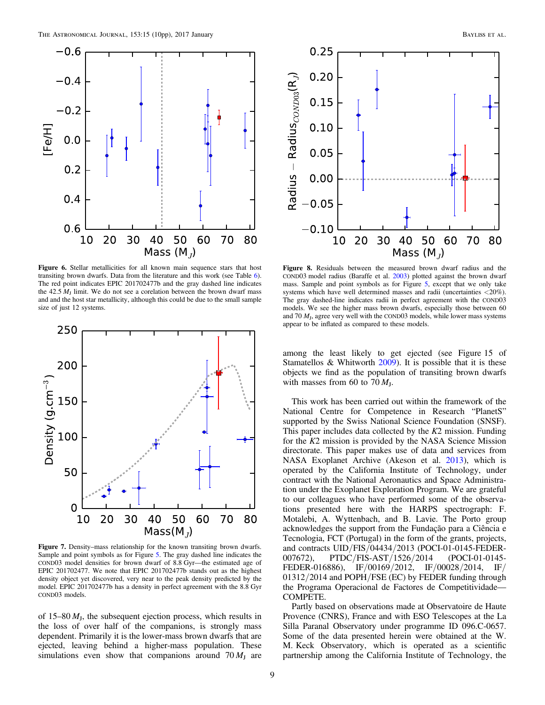<span id="page-8-0"></span>

Figure 6. Stellar metallicities for all known main sequence stars that host transiting brown dwarfs. Data from the literature and this work (see Table [6](#page-7-0)). The red point indicates EPIC 201702477b and the gray dashed line indicates the 42.5  $M<sub>I</sub>$  limit. We do not see a corelation between the brown dwarf mass and and the host star metallicity, although this could be due to the small sample size of just 12 systems.

<span id="page-8-1"></span>

Figure 7. Density–mass relationship for the known transiting brown dwarfs. Sample and point symbols as for Figure [5.](#page-7-1) The gray dashed line indicates the COND03 model densities for brown dwarf of 8.8 Gyr—the estimated age of EPIC 201702477. We note that EPIC 201702477b stands out as the highest density object yet discovered, very near to the peak density predicted by the model. EPIC 201702477b has a density in perfect agreement with the 8.8 Gyr COND03 models.

of 15–80  $M<sub>J</sub>$ , the subsequent ejection process, which results in the loss of over half of the companions, is strongly mass dependent. Primarily it is the lower-mass brown dwarfs that are ejected, leaving behind a higher-mass population. These simulations even show that companions around  $70 M<sub>I</sub>$  are

<span id="page-8-2"></span>

Figure 8. Residuals between the measured brown dwarf radius and the COND03 model radius (Baraffe et al. [2003](#page-9-67)) plotted against the brown dwarf mass. Sample and point symbols as for Figure [5](#page-7-1), except that we only take systems which have well determined masses and radii (uncertainties <20%). The gray dashed-line indicates radii in perfect agreement with the COND03 models. We see the higher mass brown dwarfs, especially those between 60 and 70  $M<sub>J</sub>$ , agree very well with the COND03 models, while lower mass systems appear to be inflated as compared to these models.

among the least likely to get ejected (see Figure 15 of Stamatellos & Whitworth [2009](#page-9-69)). It is possible that it is these objects we find as the population of transiting brown dwarfs with masses from 60 to  $70 M_J$ .

This work has been carried out within the framework of the National Centre for Competence in Research "PlanetS" supported by the Swiss National Science Foundation (SNSF). This paper includes data collected by the  $K2$  mission. Funding for the K2 mission is provided by the NASA Science Mission directorate. This paper makes use of data and services from NASA Exoplanet Archive (Akeson et al. [2013](#page-9-75)), which is operated by the California Institute of Technology, under contract with the National Aeronautics and Space Administration under the Exoplanet Exploration Program. We are grateful to our colleagues who have performed some of the observations presented here with the HARPS spectrograph: F. Motalebi, A. Wyttenbach, and B. Lavie. The Porto group acknowledges the support from the Fundação para a Ciência e Tecnologia, FCT (Portugal) in the form of the grants, projects, and contracts UID/FIS/04434/2013 (POCI-01-0145-FEDER-007672), PTDC/FIS-AST/1526/2014 (POCI-01-0145- FEDER-016886), IF/00169/2012, IF/00028/2014, IF/ 01312/2014 and POPH/FSE (EC) by FEDER funding through the Programa Operacional de Factores de Competitividade— COMPETE.

Partly based on observations made at Observatoire de Haute Provence (CNRS), France and with ESO Telescopes at the La Silla Paranal Observatory under programme ID 096.C-0657. Some of the data presented herein were obtained at the W. M. Keck Observatory, which is operated as a scientific partnership among the California Institute of Technology, the